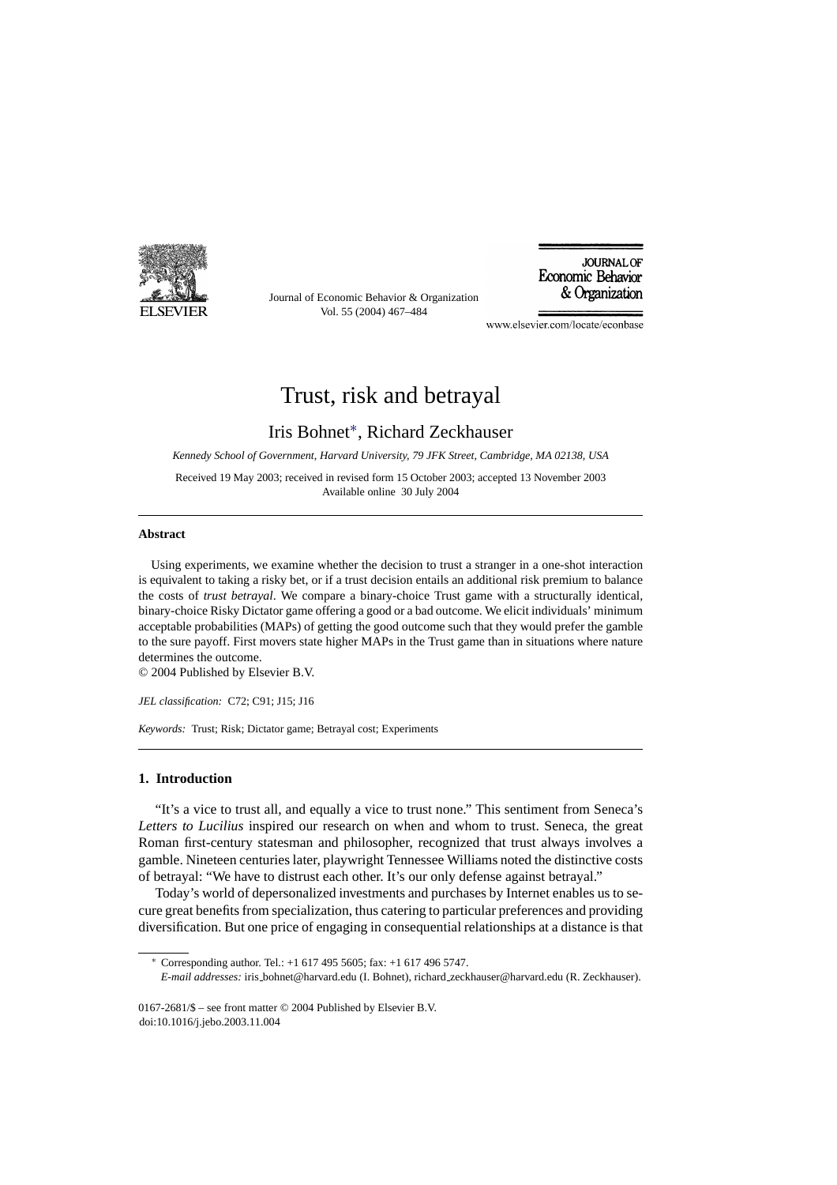

Journal of Economic Behavior & Organization Vol. 55 (2004) 467–484

**JOURNAL OF** Economic Behavior & Organization

www.elsevier.com/locate/econbase

# Trust, risk and betrayal

Iris Bohnet∗, Richard Zeckhauser

*Kennedy School of Government, Harvard University, 79 JFK Street, Cambridge, MA 02138, USA*

Received 19 May 2003; received in revised form 15 October 2003; accepted 13 November 2003 Available online 30 July 2004

#### **Abstract**

Using experiments, we examine whether the decision to trust a stranger in a one-shot interaction is equivalent to taking a risky bet, or if a trust decision entails an additional risk premium to balance the costs of *trust betrayal*. We compare a binary-choice Trust game with a structurally identical, binary-choice Risky Dictator game offering a good or a bad outcome. We elicit individuals' minimum acceptable probabilities (MAPs) of getting the good outcome such that they would prefer the gamble to the sure payoff. First movers state higher MAPs in the Trust game than in situations where nature determines the outcome.

© 2004 Published by Elsevier B.V.

*JEL classification:* C72; C91; J15; J16

*Keywords:* Trust; Risk; Dictator game; Betrayal cost; Experiments

## **1. Introduction**

"It's a vice to trust all, and equally a vice to trust none." This sentiment from Seneca's *Letters to Lucilius* inspired our research on when and whom to trust. Seneca, the great Roman first-century statesman and philosopher, recognized that trust always involves a gamble. Nineteen centuries later, playwright Tennessee Williams noted the distinctive costs of betrayal: "We have to distrust each other. It's our only defense against betrayal."

Today's world of depersonalized investments and purchases by Internet enables us to secure great benefits from specialization, thus catering to particular preferences and providing diversification. But one price of engaging in consequential relationships at a distance is that

<sup>∗</sup> Corresponding author. Tel.: +1 617 495 5605; fax: +1 617 496 5747.

*E-mail addresses:* iris bohnet@harvard.edu (I. Bohnet), richard zeckhauser@harvard.edu (R. Zeckhauser).

<sup>0167-2681/\$ –</sup> see front matter © 2004 Published by Elsevier B.V. doi:10.1016/j.jebo.2003.11.004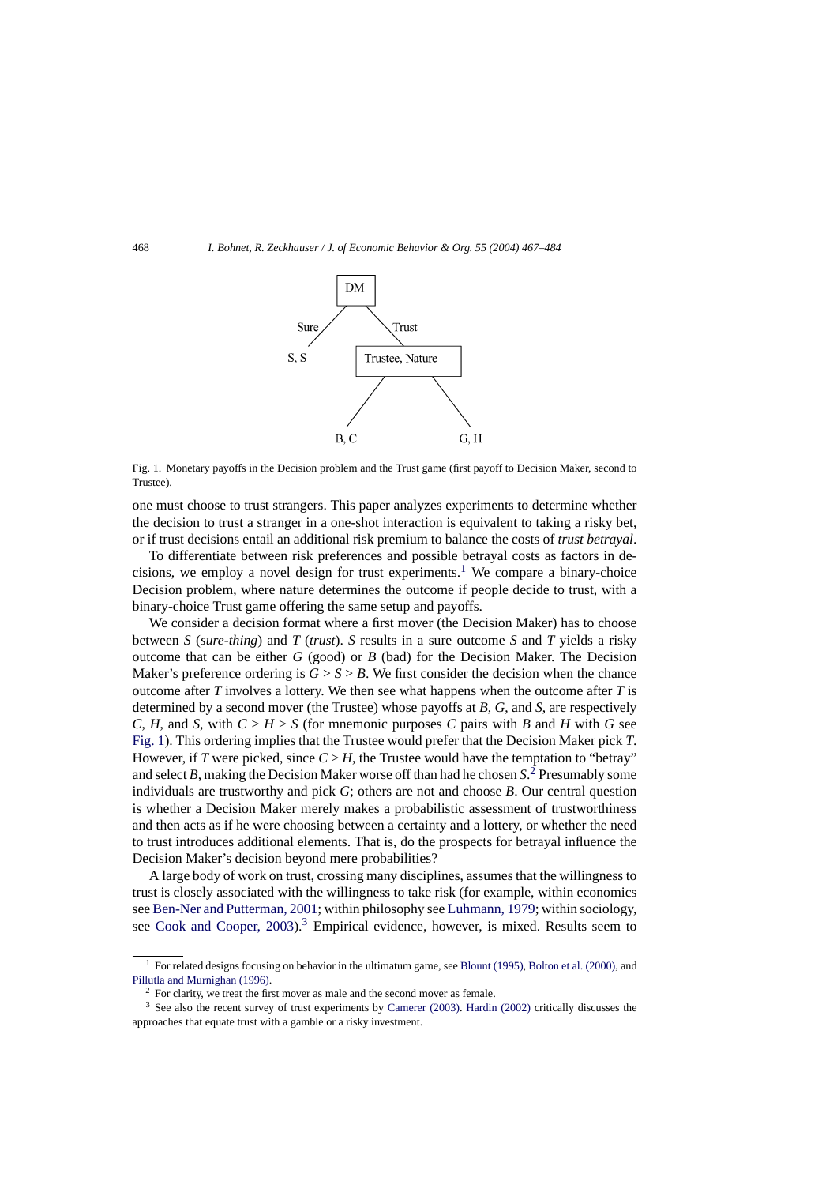

Fig. 1. Monetary payoffs in the Decision problem and the Trust game (first payoff to Decision Maker, second to Trustee).

one must choose to trust strangers. This paper analyzes experiments to determine whether the decision to trust a stranger in a one-shot interaction is equivalent to taking a risky bet, or if trust decisions entail an additional risk premium to balance the costs of *trust betrayal*.

To differentiate between risk preferences and possible betrayal costs as factors in decisions, we employ a novel design for trust experiments.<sup>1</sup> We compare a binary-choice Decision problem, where nature determines the outcome if people decide to trust, with a binary-choice Trust game offering the same setup and payoffs.

We consider a decision format where a first mover (the Decision Maker) has to choose between *S* (*sure*-*thing*) and *T* (*trust*). *S* results in a sure outcome *S* and *T* yields a risky outcome that can be either *G* (good) or *B* (bad) for the Decision Maker. The Decision Maker's preference ordering is  $G > S > B$ . We first consider the decision when the chance outcome after *T* involves a lottery. We then see what happens when the outcome after *T* is determined by a second mover (the Trustee) whose payoffs at *B*, *G*, and *S*, are respectively *C*, *H*, and *S*, with  $C > H > S$  (for mnemonic purposes *C* pairs with *B* and *H* with *G* see Fig. 1). This ordering implies that the Trustee would prefer that the Decision Maker pick *T*. However, if *T* were picked, since  $C > H$ , the Trustee would have the temptation to "betray" and select *B*, making the Decision Maker worse off than had he chosen *S*. <sup>2</sup> Presumably some individuals are trustworthy and pick *G*; others are not and choose *B*. Our central question is whether a Decision Maker merely makes a probabilistic assessment of trustworthiness and then acts as if he were choosing between a certainty and a lottery, or whether the need to trust introduces additional elements. That is, do the prospects for betrayal influence the Decision Maker's decision beyond mere probabilities?

A large body of work on trust, crossing many disciplines, assumes that the willingness to trust is closely associated with the willingness to take risk (for example, within economics see [Ben-Ner and Putterman, 2001; w](#page-16-0)ithin philosophy see [Luhmann, 1979; w](#page-16-0)ithin sociology, see [Cook and Cooper, 2003\)](#page-16-0).<sup>3</sup> Empirical evidence, however, is mixed. Results seem to

<span id="page-1-0"></span>

 $1$  For related designs focusing on behavior in the ultimatum game, see [Blount \(1995\),](#page-16-0) [Bolton et al. \(2000\), a](#page-16-0)nd [Pillutla and Murnighan \(1996\).](#page-16-0)

 $2$  For clarity, we treat the first mover as male and the second mover as female.

<sup>3</sup> See also the recent survey of trust experiments by [Camerer \(2003\).](#page-16-0) [Hardin \(2002\)](#page-16-0) critically discusses the approaches that equate trust with a gamble or a risky investment.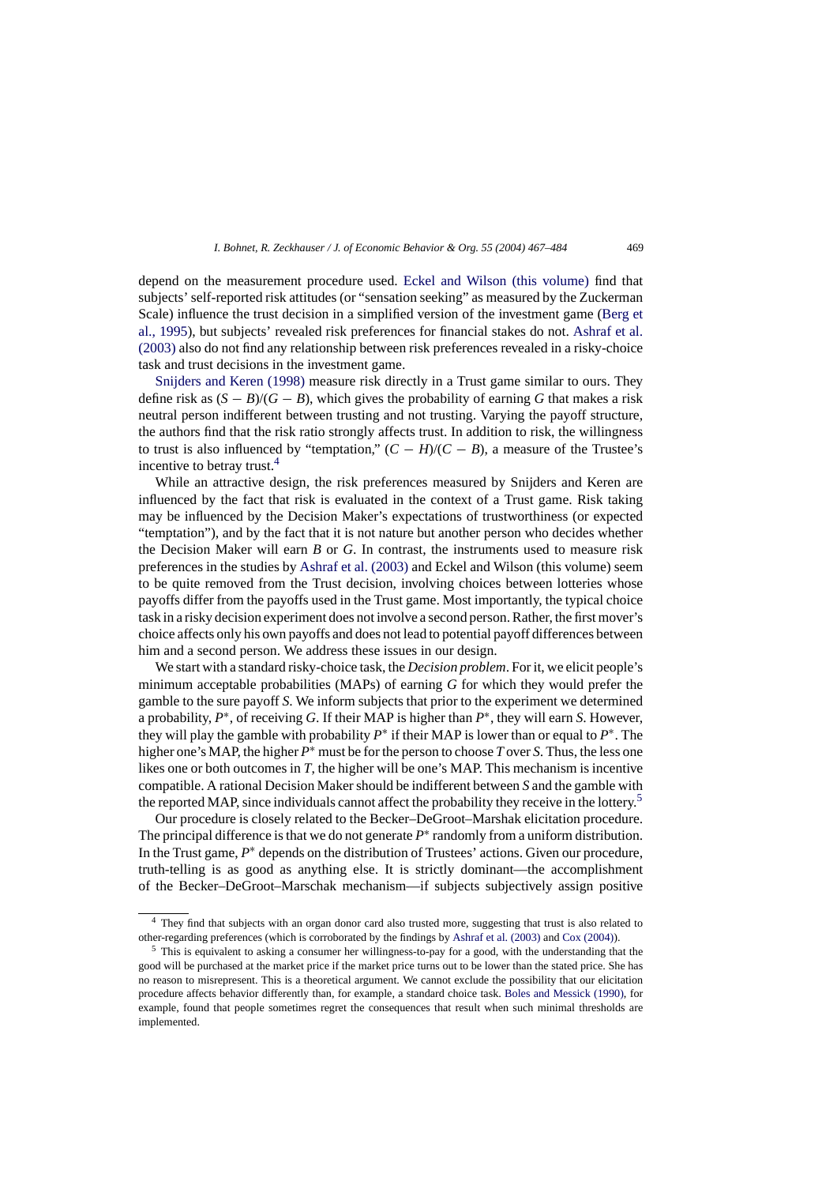depend on the measurement procedure used. [Eckel and Wilson \(this volume\)](#page-16-0) find that subjects' self-reported risk attitudes (or "sensation seeking" as measured by the Zuckerman Scale) influence the trust decision in a simplified version of the investment game [\(Berg et](#page-16-0) [al., 1995\),](#page-16-0) but subjects' revealed risk preferences for financial stakes do not. [Ashraf et al.](#page-15-0) [\(2003\)](#page-15-0) also do not find any relationship between risk preferences revealed in a risky-choice task and trust decisions in the investment game.

[Snijders and Keren \(1998\)](#page-17-0) measure risk directly in a Trust game similar to ours. They define risk as  $(S - B)/(G - B)$ , which gives the probability of earning G that makes a risk neutral person indifferent between trusting and not trusting. Varying the payoff structure, the authors find that the risk ratio strongly affects trust. In addition to risk, the willingness to trust is also influenced by "temptation,"  $(C - H)/(C - B)$ , a measure of the Trustee's incentive to betray trust.<sup>4</sup>

While an attractive design, the risk preferences measured by Snijders and Keren are influenced by the fact that risk is evaluated in the context of a Trust game. Risk taking may be influenced by the Decision Maker's expectations of trustworthiness (or expected "temptation"), and by the fact that it is not nature but another person who decides whether the Decision Maker will earn *B* or *G*. In contrast, the instruments used to measure risk preferences in the studies by [Ashraf et al. \(2003\)](#page-15-0) and Eckel and Wilson (this volume) seem to be quite removed from the Trust decision, involving choices between lotteries whose payoffs differ from the payoffs used in the Trust game. Most importantly, the typical choice task in a risky decision experiment does not involve a second person. Rather, the first mover's choice affects only his own payoffs and does not lead to potential payoff differences between him and a second person. We address these issues in our design.

We start with a standard risky-choice task, the *Decision problem*. For it, we elicit people's minimum acceptable probabilities (MAPs) of earning *G* for which they would prefer the gamble to the sure payoff *S*. We inform subjects that prior to the experiment we determined a probability, *P*∗, of receiving *G*. If their MAP is higher than *P*∗, they will earn *S*. However, they will play the gamble with probability *P*∗ if their MAP is lower than or equal to *P*∗. The higher one's MAP, the higher *P*∗ must be for the person to choose *T* over *S*. Thus, the less one likes one or both outcomes in *T*, the higher will be one's MAP. This mechanism is incentive compatible. A rational Decision Maker should be indifferent between *S* and the gamble with the reported MAP, since individuals cannot affect the probability they receive in the lottery.<sup>5</sup>

Our procedure is closely related to the Becker–DeGroot–Marshak elicitation procedure. The principal difference is that we do not generate  $P^*$  randomly from a uniform distribution. In the Trust game, *P*∗ depends on the distribution of Trustees' actions. Given our procedure, truth-telling is as good as anything else. It is strictly dominant—the accomplishment of the Becker–DeGroot–Marschak mechanism—if subjects subjectively assign positive

<sup>4</sup> They find that subjects with an organ donor card also trusted more, suggesting that trust is also related to other-regarding preferences (which is corroborated by the findings by [Ashraf et al. \(2003\)](#page-15-0) and [Cox \(2004\)\).](#page-16-0)

<sup>&</sup>lt;sup>5</sup> This is equivalent to asking a consumer her willingness-to-pay for a good, with the understanding that the good will be purchased at the market price if the market price turns out to be lower than the stated price. She has no reason to misrepresent. This is a theoretical argument. We cannot exclude the possibility that our elicitation procedure affects behavior differently than, for example, a standard choice task. [Boles and Messick \(1990\),](#page-16-0) for example, found that people sometimes regret the consequences that result when such minimal thresholds are implemented.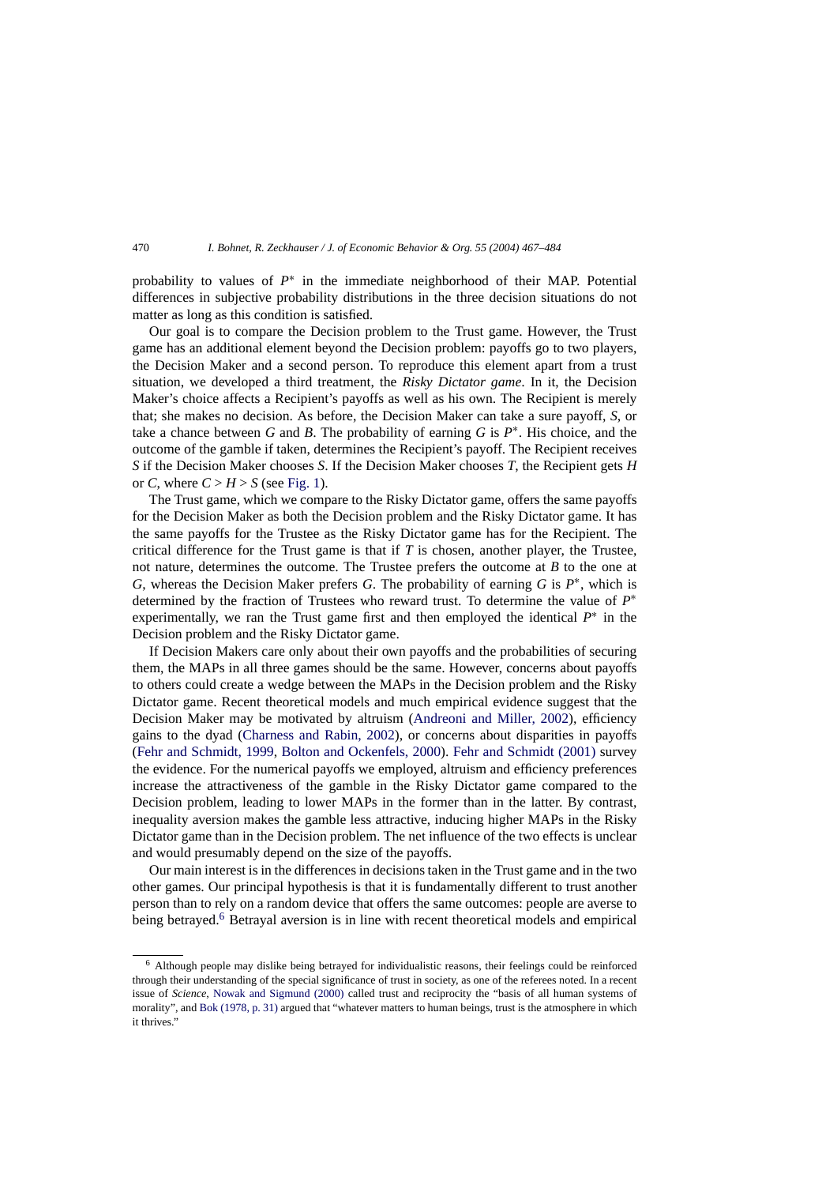probability to values of *P*∗ in the immediate neighborhood of their MAP. Potential differences in subjective probability distributions in the three decision situations do not matter as long as this condition is satisfied.

Our goal is to compare the Decision problem to the Trust game. However, the Trust game has an additional element beyond the Decision problem: payoffs go to two players, the Decision Maker and a second person. To reproduce this element apart from a trust situation, we developed a third treatment, the *Risky Dictator game*. In it, the Decision Maker's choice affects a Recipient's payoffs as well as his own. The Recipient is merely that; she makes no decision. As before, the Decision Maker can take a sure payoff, *S*, or take a chance between *G* and *B*. The probability of earning *G* is  $P^*$ . His choice, and the outcome of the gamble if taken, determines the Recipient's payoff. The Recipient receives *S* if the Decision Maker chooses *S*. If the Decision Maker chooses *T*, the Recipient gets *H* or *C*, where  $C > H > S$  (see [Fig. 1\).](#page-1-0)

The Trust game, which we compare to the Risky Dictator game, offers the same payoffs for the Decision Maker as both the Decision problem and the Risky Dictator game. It has the same payoffs for the Trustee as the Risky Dictator game has for the Recipient. The critical difference for the Trust game is that if  $T$  is chosen, another player, the Trustee, not nature, determines the outcome. The Trustee prefers the outcome at *B* to the one at *G*, whereas the Decision Maker prefers *G*. The probability of earning *G* is *P*∗, which is determined by the fraction of Trustees who reward trust. To determine the value of *P*∗ experimentally, we ran the Trust game first and then employed the identical *P*∗ in the Decision problem and the Risky Dictator game.

If Decision Makers care only about their own payoffs and the probabilities of securing them, the MAPs in all three games should be the same. However, concerns about payoffs to others could create a wedge between the MAPs in the Decision problem and the Risky Dictator game. Recent theoretical models and much empirical evidence suggest that the Decision Maker may be motivated by altruism ([Andreoni and Miller, 2002\)](#page-15-0), efficiency gains to the dyad [\(Charness and Rabin, 2002\)](#page-16-0), or concerns about disparities in payoffs [\(Fehr and Schmidt, 1999,](#page-16-0) [Bolton and Ockenfels, 2000\).](#page-16-0) [Fehr and Schmidt \(2001\)](#page-16-0) survey the evidence. For the numerical payoffs we employed, altruism and efficiency preferences increase the attractiveness of the gamble in the Risky Dictator game compared to the Decision problem, leading to lower MAPs in the former than in the latter. By contrast, inequality aversion makes the gamble less attractive, inducing higher MAPs in the Risky Dictator game than in the Decision problem. The net influence of the two effects is unclear and would presumably depend on the size of the payoffs.

Our main interest is in the differences in decisions taken in the Trust game and in the two other games. Our principal hypothesis is that it is fundamentally different to trust another person than to rely on a random device that offers the same outcomes: people are averse to being betrayed.<sup>6</sup> Betrayal aversion is in line with recent theoretical models and empirical

<sup>6</sup> Although people may dislike being betrayed for individualistic reasons, their feelings could be reinforced through their understanding of the special significance of trust in society, as one of the referees noted. In a recent issue of *Science*, [Nowak and Sigmund \(2000\)](#page-16-0) called trust and reciprocity the "basis of all human systems of morality", and [Bok \(1978, p. 31\)](#page-16-0) argued that "whatever matters to human beings, trust is the atmosphere in which it thrives."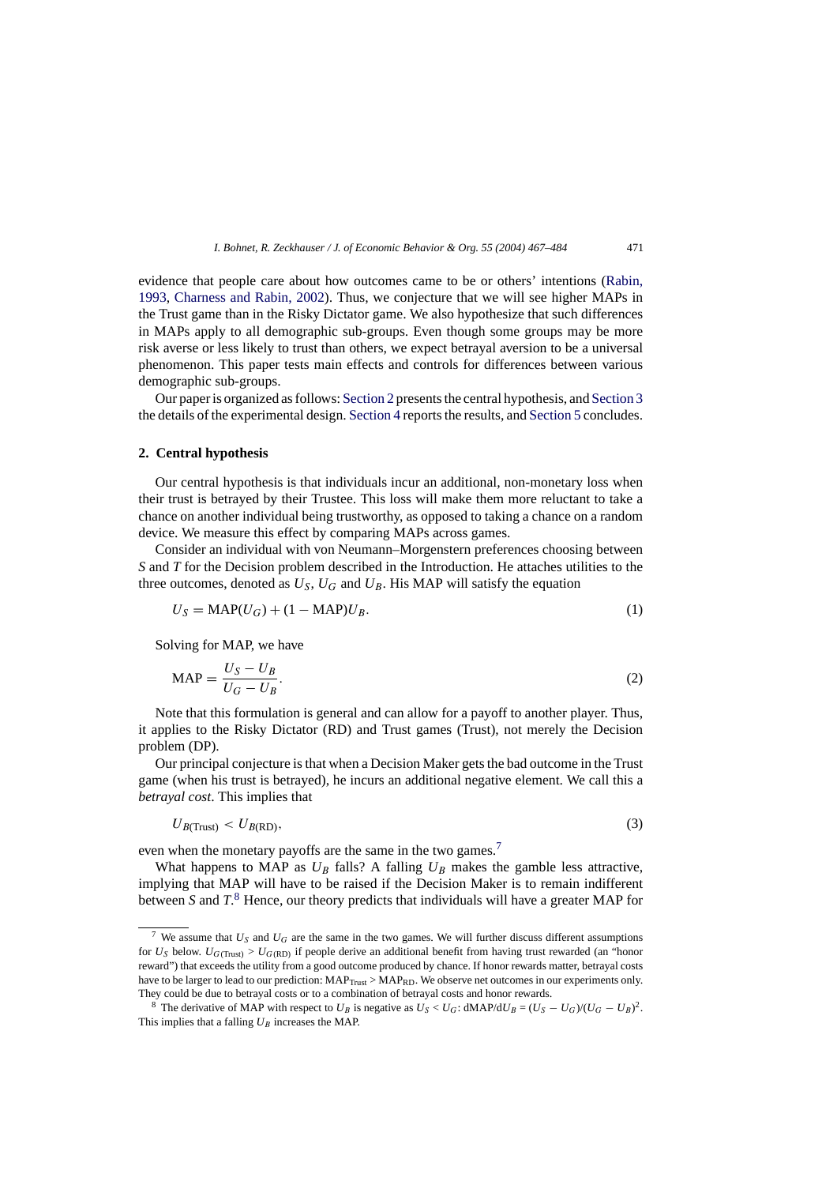<span id="page-4-0"></span>evidence that people care about how outcomes came to be or others' intentions ([Rabin,](#page-17-0) [1993,](#page-17-0) [Charness and Rabin, 2002\).](#page-16-0) Thus, we conjecture that we will see higher MAPs in the Trust game than in the Risky Dictator game. We also hypothesize that such differences in MAPs apply to all demographic sub-groups. Even though some groups may be more risk averse or less likely to trust than others, we expect betrayal aversion to be a universal phenomenon. This paper tests main effects and controls for differences between various demographic sub-groups.

Our paper is organized as follows: Section 2 presents the central hypothesis, and [Section 3](#page-5-0) the details of the experimental design. [Section 4](#page-7-0) reports the results, and [Section 5](#page-12-0) concludes.

#### **2. Central hypothesis**

Our central hypothesis is that individuals incur an additional, non-monetary loss when their trust is betrayed by their Trustee. This loss will make them more reluctant to take a chance on another individual being trustworthy, as opposed to taking a chance on a random device. We measure this effect by comparing MAPs across games.

Consider an individual with von Neumann–Morgenstern preferences choosing between *S* and *T* for the Decision problem described in the Introduction. He attaches utilities to the three outcomes, denoted as  $U_S$ ,  $U_G$  and  $U_B$ . His MAP will satisfy the equation

$$
U_S = \text{MAP}(U_G) + (1 - \text{MAP})U_B. \tag{1}
$$

Solving for MAP, we have

$$
MAP = \frac{U_S - U_B}{U_G - U_B}.\tag{2}
$$

Note that this formulation is general and can allow for a payoff to another player. Thus, it applies to the Risky Dictator (RD) and Trust games (Trust), not merely the Decision problem (DP).

Our principal conjecture is that when a Decision Maker gets the bad outcome in the Trust game (when his trust is betrayed), he incurs an additional negative element. We call this a *betrayal cost*. This implies that

$$
U_{B(\text{Trust})} < U_{B(\text{RD})},\tag{3}
$$

even when the monetary payoffs are the same in the two games.<sup>7</sup>

What happens to MAP as  $U_B$  falls? A falling  $U_B$  makes the gamble less attractive, implying that MAP will have to be raised if the Decision Maker is to remain indifferent between *S* and *T*. <sup>8</sup> Hence, our theory predicts that individuals will have a greater MAP for

<sup>&</sup>lt;sup>7</sup> We assume that  $U_S$  and  $U_G$  are the same in the two games. We will further discuss different assumptions for  $U_S$  below.  $U_G$ (Trust) >  $U_G$ (RD) if people derive an additional benefit from having trust rewarded (an "honor reward") that exceeds the utility from a good outcome produced by chance. If honor rewards matter, betrayal costs have to be larger to lead to our prediction:  $MAP_{Trust} > MAP_{RD}$ . We observe net outcomes in our experiments only. They could be due to betrayal costs or to a combination of betrayal costs and honor rewards.

<sup>&</sup>lt;sup>8</sup> The derivative of MAP with respect to  $U_B$  is negative as  $U_S < U_G$ : dMAP/d $U_B = (U_S - U_G)/(U_G - U_B)^2$ . This implies that a falling  $U_B$  increases the MAP.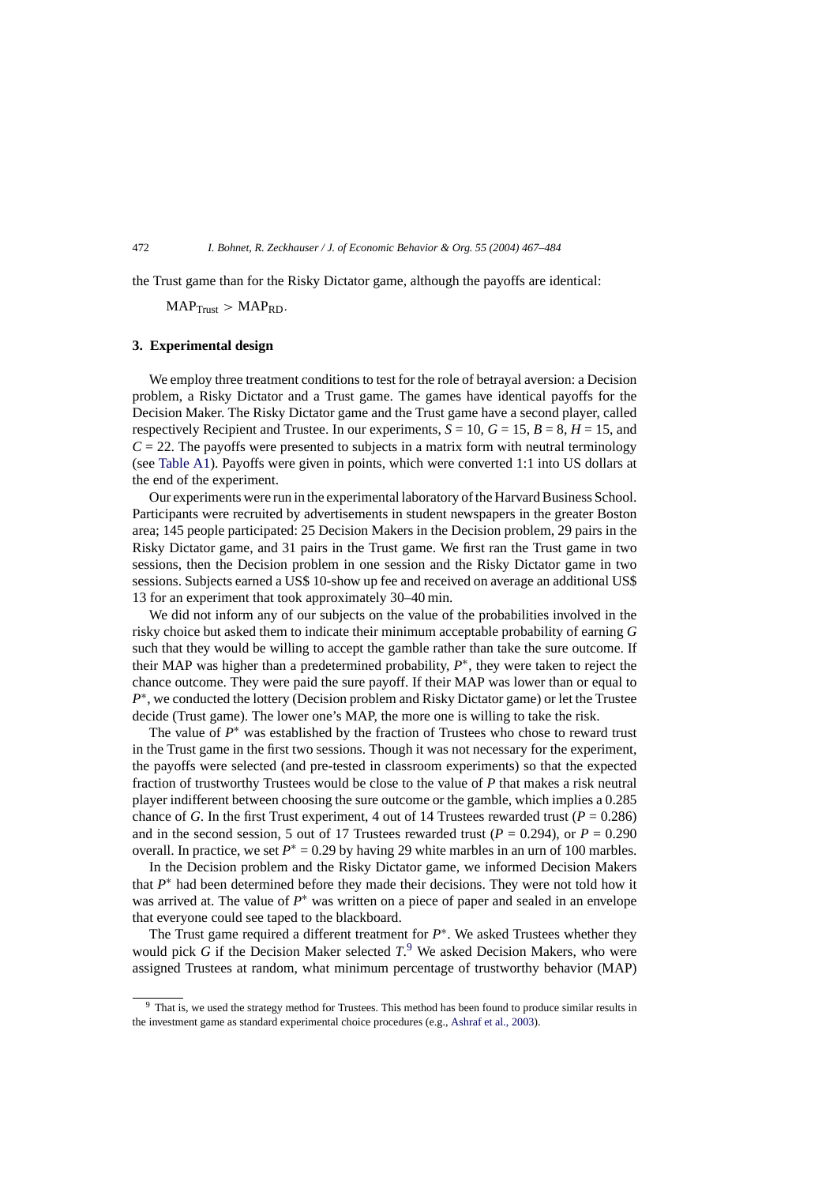<span id="page-5-0"></span>the Trust game than for the Risky Dictator game, although the payoffs are identical:

 $MAP_{Trust} > MAP_{RD}$ .

#### **3. Experimental design**

We employ three treatment conditions to test for the role of betrayal aversion: a Decision problem, a Risky Dictator and a Trust game. The games have identical payoffs for the Decision Maker. The Risky Dictator game and the Trust game have a second player, called respectively Recipient and Trustee. In our experiments,  $S = 10$ ,  $G = 15$ ,  $B = 8$ ,  $H = 15$ , and  $C = 22$ . The payoffs were presented to subjects in a matrix form with neutral terminology (see [Table A1\).](#page-13-0) Payoffs were given in points, which were converted 1:1 into US dollars at the end of the experiment.

Our experiments were run in the experimental laboratory of the Harvard Business School. Participants were recruited by advertisements in student newspapers in the greater Boston area; 145 people participated: 25 Decision Makers in the Decision problem, 29 pairs in the Risky Dictator game, and 31 pairs in the Trust game. We first ran the Trust game in two sessions, then the Decision problem in one session and the Risky Dictator game in two sessions. Subjects earned a US\$ 10-show up fee and received on average an additional US\$ 13 for an experiment that took approximately 30–40 min.

We did not inform any of our subjects on the value of the probabilities involved in the risky choice but asked them to indicate their minimum acceptable probability of earning *G* such that they would be willing to accept the gamble rather than take the sure outcome. If their MAP was higher than a predetermined probability, *P*∗, they were taken to reject the chance outcome. They were paid the sure payoff. If their MAP was lower than or equal to *P*<sup>∗</sup>, we conducted the lottery (Decision problem and Risky Dictator game) or let the Trustee decide (Trust game). The lower one's MAP, the more one is willing to take the risk.

The value of *P*∗ was established by the fraction of Trustees who chose to reward trust in the Trust game in the first two sessions. Though it was not necessary for the experiment, the payoffs were selected (and pre-tested in classroom experiments) so that the expected fraction of trustworthy Trustees would be close to the value of *P* that makes a risk neutral player indifferent between choosing the sure outcome or the gamble, which implies a 0.285 chance of *G*. In the first Trust experiment, 4 out of 14 Trustees rewarded trust ( $P = 0.286$ ) and in the second session, 5 out of 17 Trustees rewarded trust  $(P = 0.294)$ , or  $P = 0.290$ overall. In practice, we set  $P^* = 0.29$  by having 29 white marbles in an urn of 100 marbles.

In the Decision problem and the Risky Dictator game, we informed Decision Makers that  $P^*$  had been determined before they made their decisions. They were not told how it was arrived at. The value of *P*∗ was written on a piece of paper and sealed in an envelope that everyone could see taped to the blackboard.

The Trust game required a different treatment for *P*∗. We asked Trustees whether they would pick *G* if the Decision Maker selected *T*. <sup>9</sup> We asked Decision Makers, who were assigned Trustees at random, what minimum percentage of trustworthy behavior (MAP)

<sup>9</sup> That is, we used the strategy method for Trustees. This method has been found to produce similar results in the investment game as standard experimental choice procedures (e.g., [Ashraf et al., 2003\).](#page-15-0)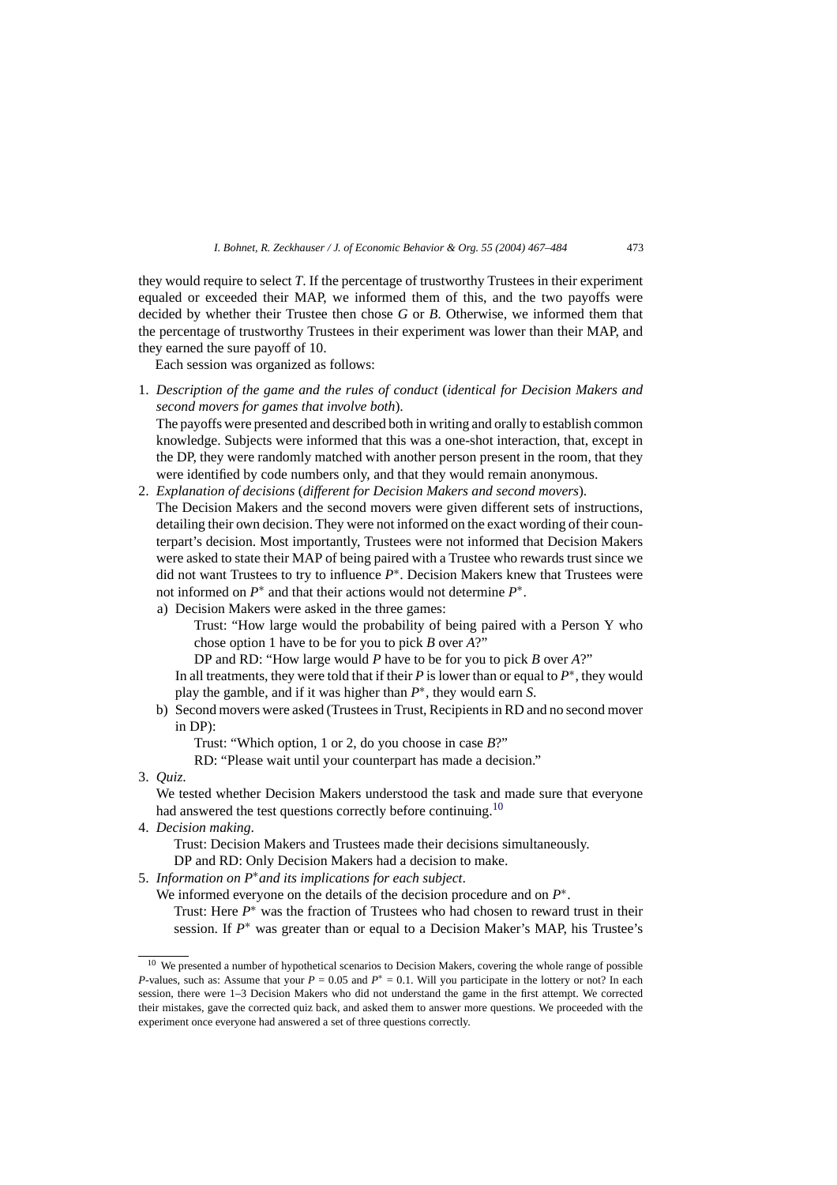they would require to select *T*. If the percentage of trustworthy Trustees in their experiment equaled or exceeded their MAP, we informed them of this, and the two payoffs were decided by whether their Trustee then chose *G* or *B*. Otherwise, we informed them that the percentage of trustworthy Trustees in their experiment was lower than their MAP, and they earned the sure payoff of 10.

Each session was organized as follows:

1. *Description of the game and the rules of conduct* (*identical for Decision Makers and second movers for games that involve both*).

The payoffs were presented and described both in writing and orally to establish common knowledge. Subjects were informed that this was a one-shot interaction, that, except in the DP, they were randomly matched with another person present in the room, that they were identified by code numbers only, and that they would remain anonymous.

2. *Explanation of decisions* (*different for Decision Makers and second movers*).

The Decision Makers and the second movers were given different sets of instructions, detailing their own decision. They were not informed on the exact wording of their counterpart's decision. Most importantly, Trustees were not informed that Decision Makers were asked to state their MAP of being paired with a Trustee who rewards trust since we did not want Trustees to try to influence *P*∗. Decision Makers knew that Trustees were not informed on *P*∗ and that their actions would not determine *P*∗.

a) Decision Makers were asked in the three games:

Trust: "How large would the probability of being paired with a Person Y who chose option 1 have to be for you to pick *B* over *A*?"

DP and RD: "How large would *P* have to be for you to pick *B* over *A*?"

In all treatments, they were told that if their *P* is lower than or equal to *P*∗, they would play the gamble, and if it was higher than *P*∗, they would earn *S*.

b) Second movers were asked (Trustees in Trust, Recipients in RD and no second mover in DP):

Trust: "Which option, 1 or 2, do you choose in case *B*?"

RD: "Please wait until your counterpart has made a decision."

3. *Quiz*.

We tested whether Decision Makers understood the task and made sure that everyone had answered the test questions correctly before continuing.<sup>10</sup>

4. *Decision making*.

Trust: Decision Makers and Trustees made their decisions simultaneously.

DP and RD: Only Decision Makers had a decision to make.

5. *Information on P*∗*and its implications for each subject*.

We informed everyone on the details of the decision procedure and on *P*∗.

Trust: Here *P*∗ was the fraction of Trustees who had chosen to reward trust in their session. If *P*<sup>∗</sup> was greater than or equal to a Decision Maker's MAP, his Trustee's

<sup>&</sup>lt;sup>10</sup> We presented a number of hypothetical scenarios to Decision Makers, covering the whole range of possible *P*-values, such as: Assume that your  $P = 0.05$  and  $P^* = 0.1$ . Will you participate in the lottery or not? In each session, there were 1–3 Decision Makers who did not understand the game in the first attempt. We corrected their mistakes, gave the corrected quiz back, and asked them to answer more questions. We proceeded with the experiment once everyone had answered a set of three questions correctly.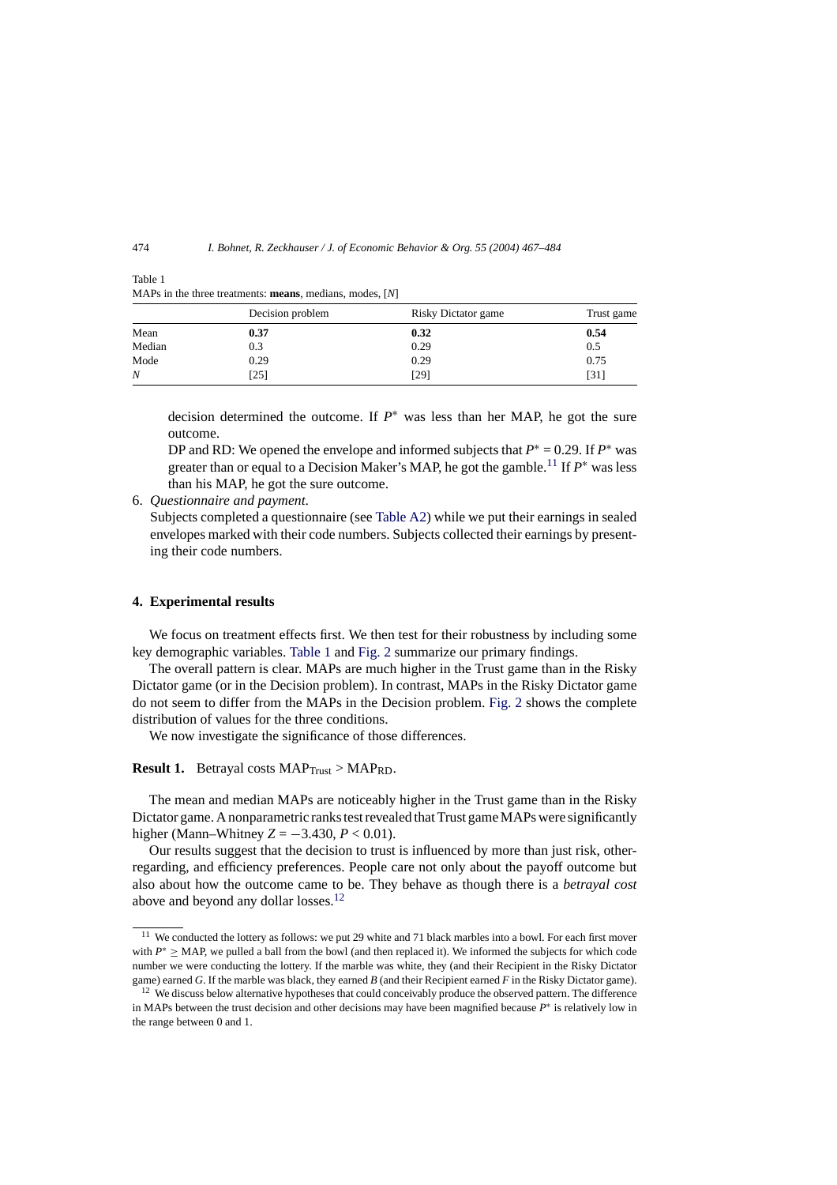|        | Decision problem | Risky Dictator game | Trust game         |
|--------|------------------|---------------------|--------------------|
| Mean   | 0.37             | 0.32                | 0.54               |
| Median | 0.3              | 0.29                | 0.5                |
| Mode   | 0.29             | 0.29                | 0.75               |
| N      | [25]             | [29]                | $\lceil 31 \rceil$ |

<span id="page-7-0"></span>Table 1 MAPs in the three treatments: **means**, medians, modes, [*N*]

decision determined the outcome. If *P*∗ was less than her MAP, he got the sure outcome.

DP and RD: We opened the envelope and informed subjects that  $P^* = 0.29$ . If  $P^*$  was greater than or equal to a Decision Maker's MAP, he got the gamble.<sup>11</sup> If  $P^*$  was less than his MAP, he got the sure outcome.

6. *Questionnaire and payment*.

Subjects completed a questionnaire (see [Table A2\) w](#page-14-0)hile we put their earnings in sealed envelopes marked with their code numbers. Subjects collected their earnings by presenting their code numbers.

## **4. Experimental results**

We focus on treatment effects first. We then test for their robustness by including some key demographic variables. Table 1 and [Fig. 2](#page-8-0) summarize our primary findings.

The overall pattern is clear. MAPs are much higher in the Trust game than in the Risky Dictator game (or in the Decision problem). In contrast, MAPs in the Risky Dictator game do not seem to differ from the MAPs in the Decision problem. [Fig. 2](#page-8-0) shows the complete distribution of values for the three conditions.

We now investigate the significance of those differences.

**Result 1.** Betrayal costs  $MAP_{Trust} > MAP_{RD}$ .

The mean and median MAPs are noticeably higher in the Trust game than in the Risky Dictator game. A nonparametric ranks test revealed that Trust game MAPs were significantly higher (Mann–Whitney  $Z = -3.430, P < 0.01$ ).

Our results suggest that the decision to trust is influenced by more than just risk, otherregarding, and efficiency preferences. People care not only about the payoff outcome but also about how the outcome came to be. They behave as though there is a *betrayal cost* above and beyond any dollar losses. $12$ 

<sup>11</sup> We conducted the lottery as follows: we put 29 white and 71 black marbles into a bowl. For each first mover with *P*<sup>∗</sup> ≥ MAP, we pulled a ball from the bowl (and then replaced it). We informed the subjects for which code number we were conducting the lottery. If the marble was white, they (and their Recipient in the Risky Dictator game) earned *G*. If the marble was black, they earned *B* (and their Recipient earned *F* in the Risky Dictator game).

<sup>&</sup>lt;sup>12</sup> We discuss below alternative hypotheses that could conceivably produce the observed pattern. The difference in MAPs between the trust decision and other decisions may have been magnified because *P*∗ is relatively low in the range between 0 and 1.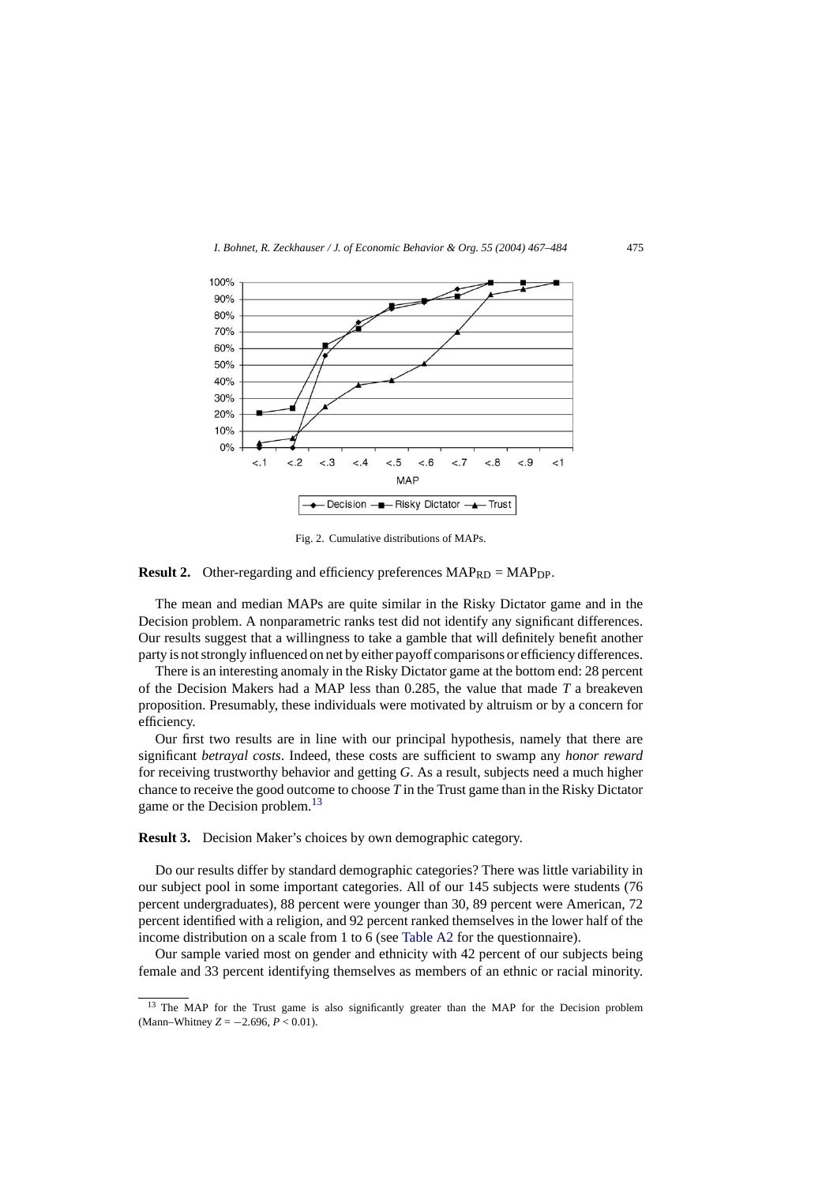<span id="page-8-0"></span>

Fig. 2. Cumulative distributions of MAPs.

## **Result 2.** Other-regarding and efficiency preferences  $MAP_{RD} = MAP_{DP}$ .

The mean and median MAPs are quite similar in the Risky Dictator game and in the Decision problem. A nonparametric ranks test did not identify any significant differences. Our results suggest that a willingness to take a gamble that will definitely benefit another party is not strongly influenced on net by either payoff comparisons or efficiency differences.

There is an interesting anomaly in the Risky Dictator game at the bottom end: 28 percent of the Decision Makers had a MAP less than 0.285, the value that made *T* a breakeven proposition. Presumably, these individuals were motivated by altruism or by a concern for efficiency.

Our first two results are in line with our principal hypothesis, namely that there are significant *betrayal costs*. Indeed, these costs are sufficient to swamp any *honor reward* for receiving trustworthy behavior and getting *G*. As a result, subjects need a much higher chance to receive the good outcome to choose *T* in the Trust game than in the Risky Dictator game or the Decision problem.<sup>13</sup>

**Result 3.** Decision Maker's choices by own demographic category.

Do our results differ by standard demographic categories? There was little variability in our subject pool in some important categories. All of our 145 subjects were students (76 percent undergraduates), 88 percent were younger than 30, 89 percent were American, 72 percent identified with a religion, and 92 percent ranked themselves in the lower half of the income distribution on a scale from 1 to 6 (see [Table A2](#page-14-0) for the questionnaire).

Our sample varied most on gender and ethnicity with 42 percent of our subjects being female and 33 percent identifying themselves as members of an ethnic or racial minority.

<sup>&</sup>lt;sup>13</sup> The MAP for the Trust game is also significantly greater than the MAP for the Decision problem (Mann–Whitney *Z* = −2.696, *P* < 0.01).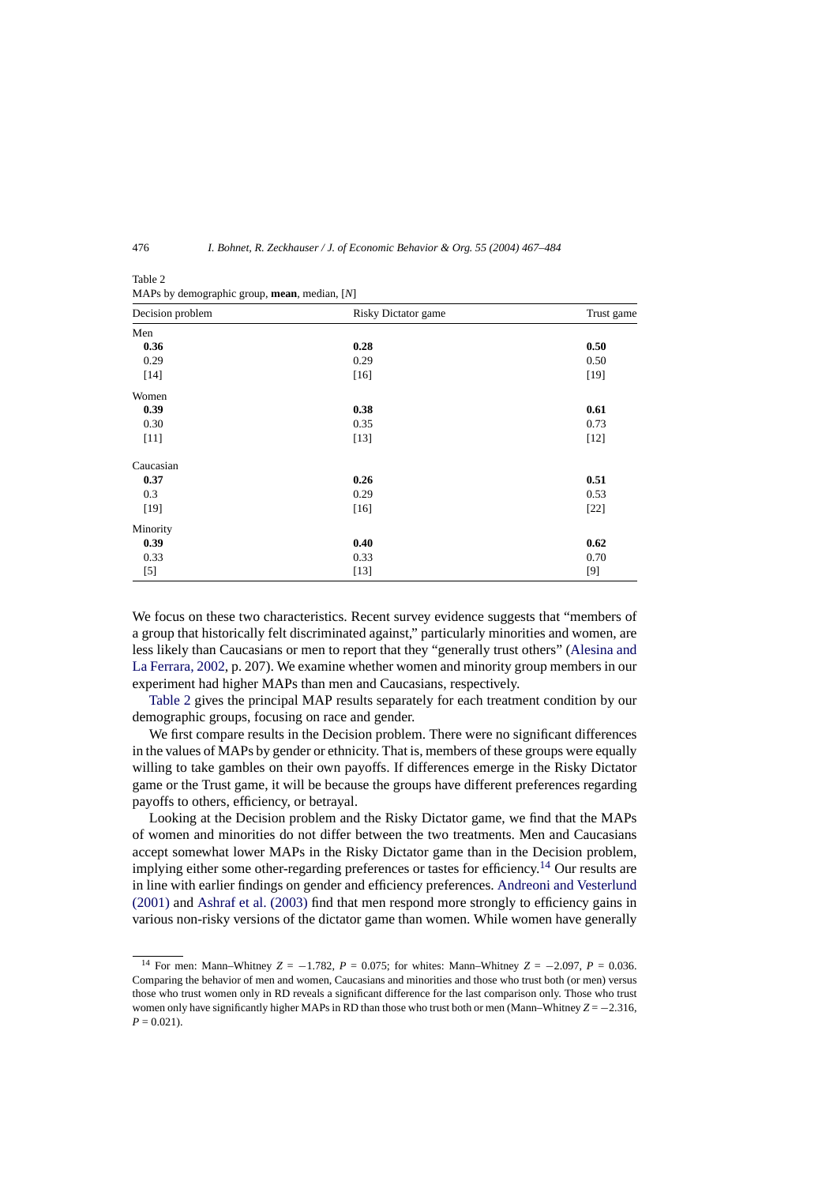| Decision problem | Risky Dictator game | Trust game |
|------------------|---------------------|------------|
| Men              |                     |            |
| 0.36             | 0.28                | 0.50       |
| 0.29             | 0.29                | 0.50       |
| $[14]$           | $[16]$              | $[19]$     |
| Women            |                     |            |
| 0.39             | 0.38                | 0.61       |
| 0.30             | 0.35                | 0.73       |
| $[11]$           | $[13]$              | $[12]$     |
| Caucasian        |                     |            |
| 0.37             | 0.26                | 0.51       |
| 0.3              | 0.29                | 0.53       |
| $[19]$           | $[16]$              | $[22]$     |
| Minority         |                     |            |
| 0.39             | 0.40                | 0.62       |
| 0.33             | 0.33                | 0.70       |
| $[5]$            | $[13]$              | $[9]$      |

Table 2 MAPs by demographic group, **mean**, median, [*N*]

We focus on these two characteristics. Recent survey evidence suggests that "members of a group that historically felt discriminated against," particularly minorities and women, are less likely than Caucasians or men to report that they "generally trust others" ([Alesina and](#page-15-0) [La Ferrara, 2002, p](#page-15-0). 207). We examine whether women and minority group members in our experiment had higher MAPs than men and Caucasians, respectively.

Table 2 gives the principal MAP results separately for each treatment condition by our demographic groups, focusing on race and gender.

We first compare results in the Decision problem. There were no significant differences in the values of MAPs by gender or ethnicity. That is, members of these groups were equally willing to take gambles on their own payoffs. If differences emerge in the Risky Dictator game or the Trust game, it will be because the groups have different preferences regarding payoffs to others, efficiency, or betrayal.

Looking at the Decision problem and the Risky Dictator game, we find that the MAPs of women and minorities do not differ between the two treatments. Men and Caucasians accept somewhat lower MAPs in the Risky Dictator game than in the Decision problem, implying either some other-regarding preferences or tastes for efficiency.<sup>14</sup> Our results are in line with earlier findings on gender and efficiency preferences. [Andreoni and Vesterlund](#page-15-0) [\(2001\)](#page-15-0) and [Ashraf et al. \(2003\)](#page-15-0) find that men respond more strongly to efficiency gains in various non-risky versions of the dictator game than women. While women have generally

<sup>14</sup> For men: Mann–Whitney *<sup>Z</sup>* <sup>=</sup> <sup>−</sup>1.782, *<sup>P</sup>* = 0.075; for whites: Mann–Whitney *<sup>Z</sup>* <sup>=</sup> <sup>−</sup>2.097, *<sup>P</sup>* = 0.036. Comparing the behavior of men and women, Caucasians and minorities and those who trust both (or men) versus those who trust women only in RD reveals a significant difference for the last comparison only. Those who trust women only have significantly higher MAPs in RD than those who trust both or men (Mann–Whitney *Z* = −2.316,  $P = 0.021$ .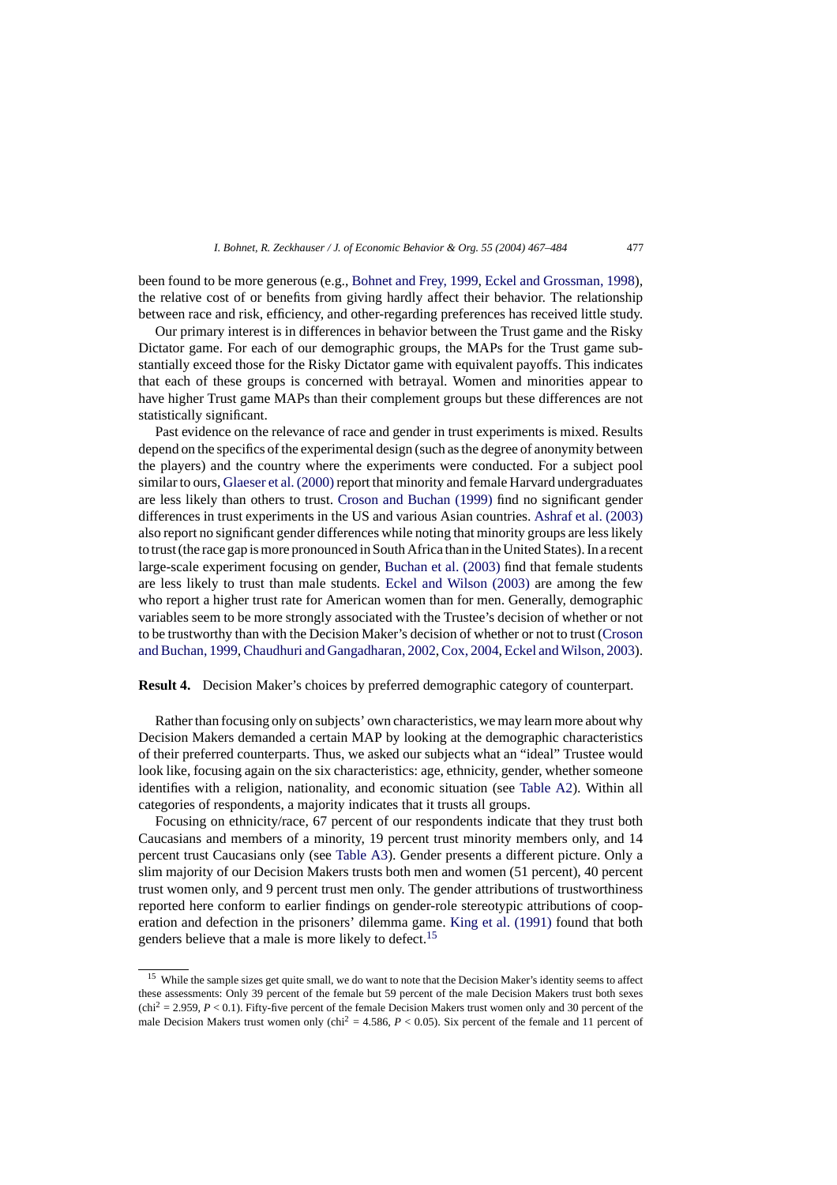been found to be more generous (e.g., [Bohnet and Frey, 1999,](#page-16-0) [Eckel and Grossman, 1998\),](#page-16-0) the relative cost of or benefits from giving hardly affect their behavior. The relationship between race and risk, efficiency, and other-regarding preferences has received little study.

Our primary interest is in differences in behavior between the Trust game and the Risky Dictator game. For each of our demographic groups, the MAPs for the Trust game substantially exceed those for the Risky Dictator game with equivalent payoffs. This indicates that each of these groups is concerned with betrayal. Women and minorities appear to have higher Trust game MAPs than their complement groups but these differences are not statistically significant.

Past evidence on the relevance of race and gender in trust experiments is mixed. Results depend on the specifics of the experimental design (such as the degree of anonymity between the players) and the country where the experiments were conducted. For a subject pool similar to ours, [Glaeser et al. \(2000\)](#page-16-0) report that minority and female Harvard undergraduates are less likely than others to trust. [Croson and Buchan \(1999\)](#page-16-0) find no significant gender differences in trust experiments in the US and various Asian countries. [Ashraf et al. \(2003\)](#page-15-0) also report no significant gender differences while noting that minority groups are less likely to trust (the race gap is more pronounced in South Africa than in the United States). In a recent large-scale experiment focusing on gender, [Buchan et al. \(2003\)](#page-16-0) find that female students are less likely to trust than male students. [Eckel and Wilson \(2003\)](#page-16-0) are among the few who report a higher trust rate for American women than for men. Generally, demographic variables seem to be more strongly associated with the Trustee's decision of whether or not to be trustworthy than with the Decision Maker's decision of whether or not to trust [\(Croson](#page-16-0) [and Buchan, 1999,Chaudhuri and Gangadharan, 2002,Cox, 2004,](#page-16-0) [Eckel and Wilson, 2003\).](#page-16-0)

**Result 4.** Decision Maker's choices by preferred demographic category of counterpart.

Rather than focusing only on subjects' own characteristics, we may learn more about why Decision Makers demanded a certain MAP by looking at the demographic characteristics of their preferred counterparts. Thus, we asked our subjects what an "ideal" Trustee would look like, focusing again on the six characteristics: age, ethnicity, gender, whether someone identifies with a religion, nationality, and economic situation (see [Table A2\).](#page-14-0) Within all categories of respondents, a majority indicates that it trusts all groups.

Focusing on ethnicity/race, 67 percent of our respondents indicate that they trust both Caucasians and members of a minority, 19 percent trust minority members only, and 14 percent trust Caucasians only (see [Table A3\).](#page-15-0) Gender presents a different picture. Only a slim majority of our Decision Makers trusts both men and women (51 percent), 40 percent trust women only, and 9 percent trust men only. The gender attributions of trustworthiness reported here conform to earlier findings on gender-role stereotypic attributions of cooperation and defection in the prisoners' dilemma game. [King et al. \(1991\)](#page-16-0) found that both genders believe that a male is more likely to defect.<sup>15</sup>

<sup>&</sup>lt;sup>15</sup> While the sample sizes get quite small, we do want to note that the Decision Maker's identity seems to affect these assessments: Only 39 percent of the female but 59 percent of the male Decision Makers trust both sexes  $(\text{chi}^2 = 2.959, P < 0.1)$ . Fifty-five percent of the female Decision Makers trust women only and 30 percent of the male Decision Makers trust women only (chi<sup>2</sup> = 4.586, *P* < 0.05). Six percent of the female and 11 percent of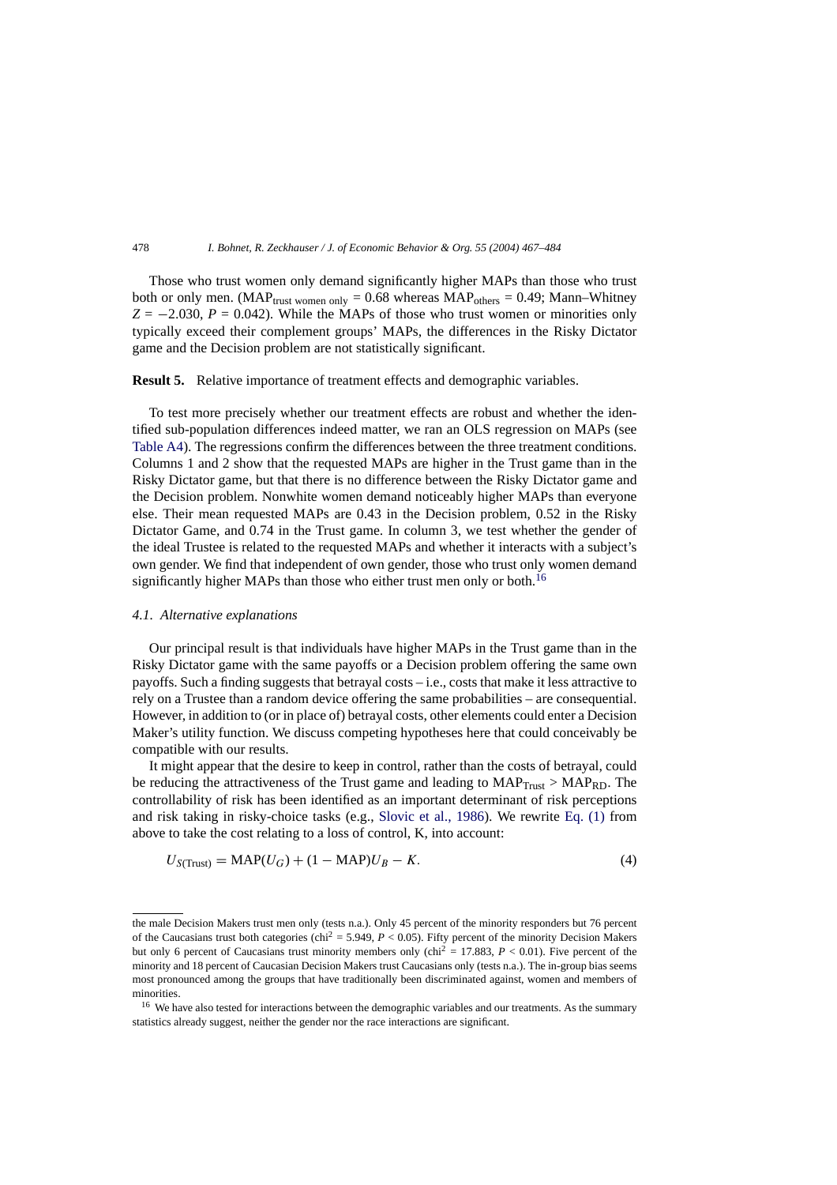<span id="page-11-0"></span>Those who trust women only demand significantly higher MAPs than those who trust both or only men. (MAP<sub>trust women only</sub> =  $0.68$  whereas MAP<sub>others</sub> = 0.49; Mann–Whitney  $Z = -2.030$ ,  $P = 0.042$ ). While the MAPs of those who trust women or minorities only typically exceed their complement groups' MAPs, the differences in the Risky Dictator game and the Decision problem are not statistically significant.

#### **Result 5.** Relative importance of treatment effects and demographic variables.

To test more precisely whether our treatment effects are robust and whether the identified sub-population differences indeed matter, we ran an OLS regression on MAPs (see [Table A4\).](#page-15-0) The regressions confirm the differences between the three treatment conditions. Columns 1 and 2 show that the requested MAPs are higher in the Trust game than in the Risky Dictator game, but that there is no difference between the Risky Dictator game and the Decision problem. Nonwhite women demand noticeably higher MAPs than everyone else. Their mean requested MAPs are 0.43 in the Decision problem, 0.52 in the Risky Dictator Game, and 0.74 in the Trust game. In column 3, we test whether the gender of the ideal Trustee is related to the requested MAPs and whether it interacts with a subject's own gender. We find that independent of own gender, those who trust only women demand significantly higher MAPs than those who either trust men only or both.<sup>16</sup>

## *4.1. Alternative explanations*

Our principal result is that individuals have higher MAPs in the Trust game than in the Risky Dictator game with the same payoffs or a Decision problem offering the same own payoffs. Such a finding suggests that betrayal costs – i.e., costs that make it less attractive to rely on a Trustee than a random device offering the same probabilities – are consequential. However, in addition to (or in place of) betrayal costs, other elements could enter a Decision Maker's utility function. We discuss competing hypotheses here that could conceivably be compatible with our results.

It might appear that the desire to keep in control, rather than the costs of betrayal, could be reducing the attractiveness of the Trust game and leading to  $MAP_{Trust} > MAP_{RD}$ . The controllability of risk has been identified as an important determinant of risk perceptions and risk taking in risky-choice tasks (e.g., [Slovic et al., 1986\)](#page-17-0). We rewrite [Eq. \(1\)](#page-4-0) from above to take the cost relating to a loss of control, K, into account:

$$
U_{S(\text{Trust})} = \text{MAP}(U_G) + (1 - \text{MAP})U_B - K. \tag{4}
$$

the male Decision Makers trust men only (tests n.a.). Only 45 percent of the minority responders but 76 percent of the Caucasians trust both categories (chi<sup>2</sup> = 5.949, *P* < 0.05). Fifty percent of the minority Decision Makers but only 6 percent of Caucasians trust minority members only (chi<sup>2</sup> = 17.883,  $P < 0.01$ ). Five percent of the minority and 18 percent of Caucasian Decision Makers trust Caucasians only (tests n.a.). The in-group bias seems most pronounced among the groups that have traditionally been discriminated against, women and members of minorities.

<sup>&</sup>lt;sup>16</sup> We have also tested for interactions between the demographic variables and our treatments. As the summary statistics already suggest, neither the gender nor the race interactions are significant.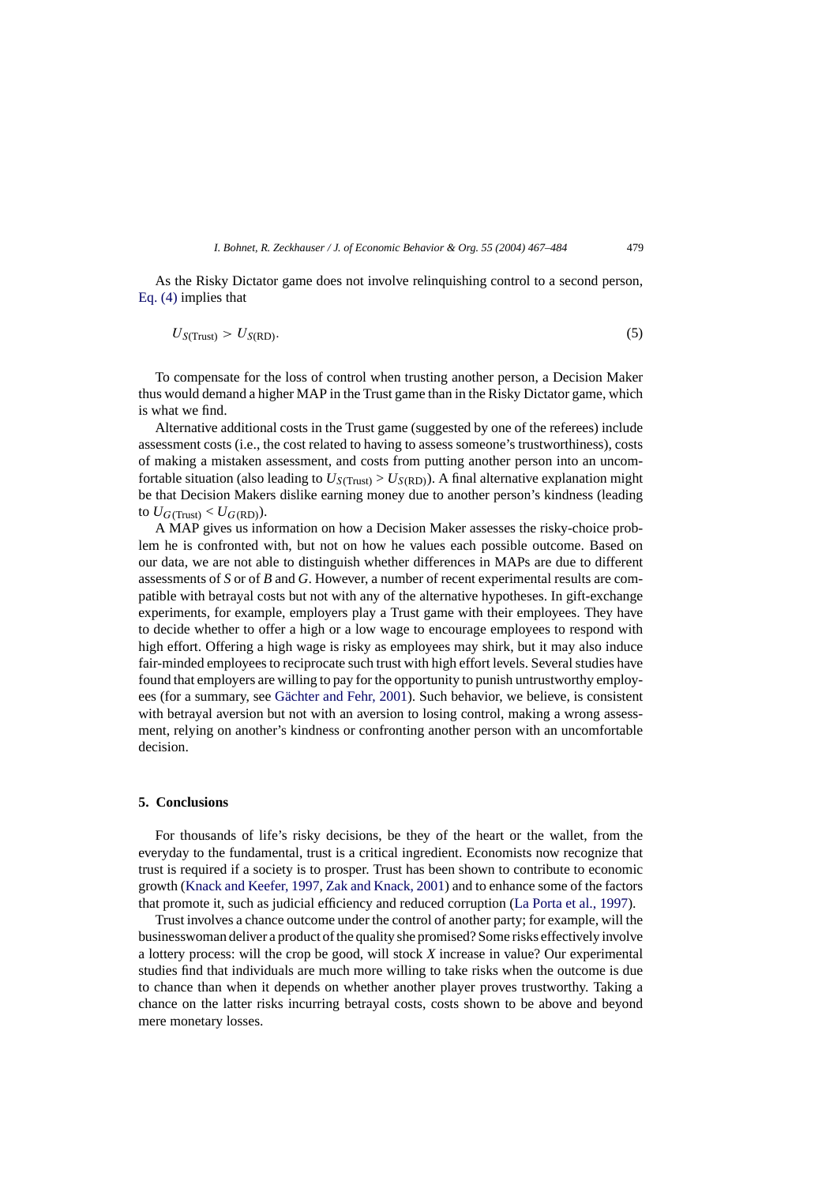<span id="page-12-0"></span>As the Risky Dictator game does not involve relinquishing control to a second person, [Eq. \(4\)](#page-11-0) implies that

$$
U_{S(\text{Trust})} > U_{S(\text{RD})}.\tag{5}
$$

To compensate for the loss of control when trusting another person, a Decision Maker thus would demand a higher MAP in the Trust game than in the Risky Dictator game, which is what we find.

Alternative additional costs in the Trust game (suggested by one of the referees) include assessment costs (i.e., the cost related to having to assess someone's trustworthiness), costs of making a mistaken assessment, and costs from putting another person into an uncomfortable situation (also leading to  $U_{S(\text{Trust})} > U_{S(\text{RD})}$ ). A final alternative explanation might be that Decision Makers dislike earning money due to another person's kindness (leading to  $U_{G(\text{Trust})} < U_{G(\text{RD})}$ ).

A MAP gives us information on how a Decision Maker assesses the risky-choice problem he is confronted with, but not on how he values each possible outcome. Based on our data, we are not able to distinguish whether differences in MAPs are due to different assessments of *S* or of *B* and *G*. However, a number of recent experimental results are compatible with betrayal costs but not with any of the alternative hypotheses. In gift-exchange experiments, for example, employers play a Trust game with their employees. They have to decide whether to offer a high or a low wage to encourage employees to respond with high effort. Offering a high wage is risky as employees may shirk, but it may also induce fair-minded employees to reciprocate such trust with high effort levels. Several studies have found that employers are willing to pay for the opportunity to punish untrustworthy employees (for a summary, see Gächter and Fehr, 2001). Such behavior, we believe, is consistent with betrayal aversion but not with an aversion to losing control, making a wrong assessment, relying on another's kindness or confronting another person with an uncomfortable decision.

## **5. Conclusions**

For thousands of life's risky decisions, be they of the heart or the wallet, from the everyday to the fundamental, trust is a critical ingredient. Economists now recognize that trust is required if a society is to prosper. Trust has been shown to contribute to economic growth ([Knack and Keefer, 1997,](#page-16-0) [Zak and Knack, 2001\) a](#page-17-0)nd to enhance some of the factors that promote it, such as judicial efficiency and reduced corruption ([La Porta et al., 1997\).](#page-16-0)

Trust involves a chance outcome under the control of another party; for example, will the businesswoman deliver a product of the quality she promised? Some risks effectively involve a lottery process: will the crop be good, will stock *X* increase in value? Our experimental studies find that individuals are much more willing to take risks when the outcome is due to chance than when it depends on whether another player proves trustworthy. Taking a chance on the latter risks incurring betrayal costs, costs shown to be above and beyond mere monetary losses.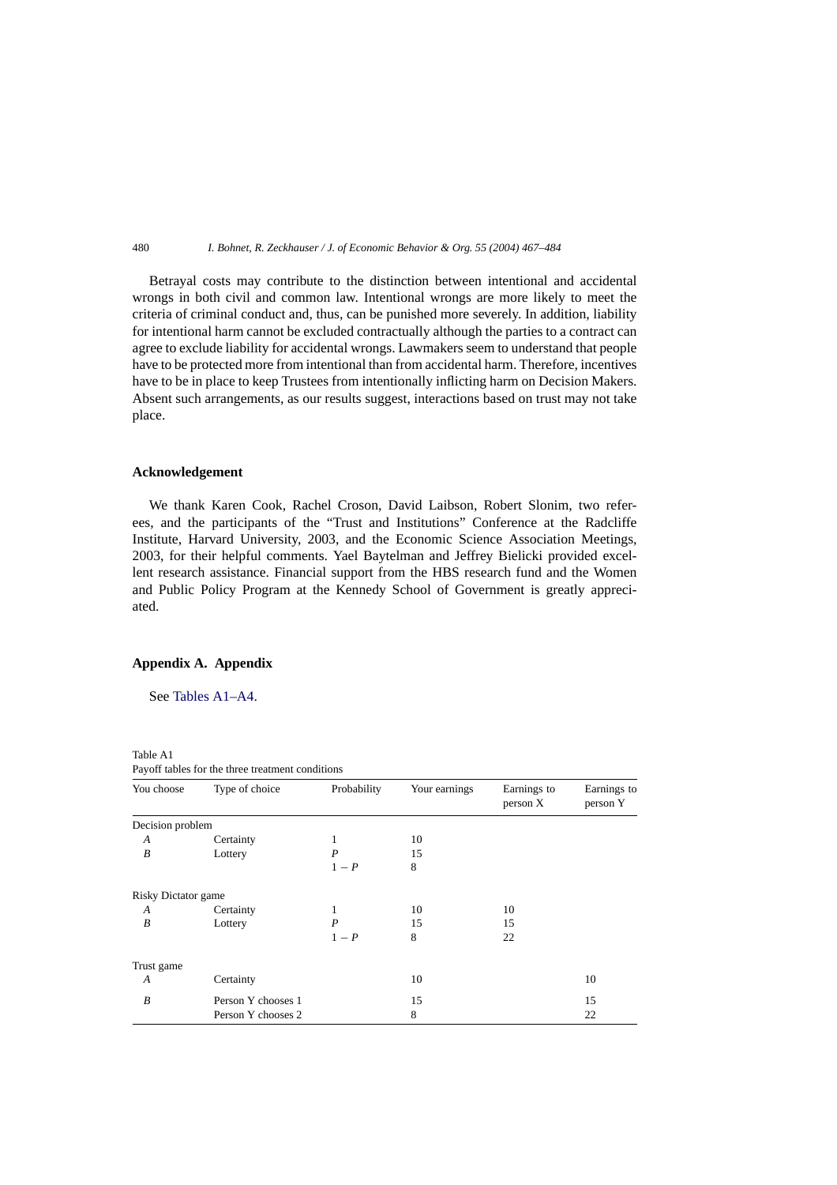Betrayal costs may contribute to the distinction between intentional and accidental wrongs in both civil and common law. Intentional wrongs are more likely to meet the criteria of criminal conduct and, thus, can be punished more severely. In addition, liability for intentional harm cannot be excluded contractually although the parties to a contract can agree to exclude liability for accidental wrongs. Lawmakers seem to understand that people have to be protected more from intentional than from accidental harm. Therefore, incentives have to be in place to keep Trustees from intentionally inflicting harm on Decision Makers. Absent such arrangements, as our results suggest, interactions based on trust may not take place.

#### **Acknowledgement**

We thank Karen Cook, Rachel Croson, David Laibson, Robert Slonim, two referees, and the participants of the "Trust and Institutions" Conference at the Radcliffe Institute, Harvard University, 2003, and the Economic Science Association Meetings, 2003, for their helpful comments. Yael Baytelman and Jeffrey Bielicki provided excellent research assistance. Financial support from the HBS research fund and the Women and Public Policy Program at the Kennedy School of Government is greatly appreciated.

## **Appendix A. Appendix**

See Tables A1–A4.

Table A1

| Payoff tables for the three treatment conditions |  |  |  |  |
|--------------------------------------------------|--|--|--|--|
|--------------------------------------------------|--|--|--|--|

| You choose          | Type of choice     | Probability      | Your earnings | Earnings to<br>person X | Earnings to<br>person Y |
|---------------------|--------------------|------------------|---------------|-------------------------|-------------------------|
| Decision problem    |                    |                  |               |                         |                         |
| A                   | Certainty          |                  | 10            |                         |                         |
| B                   | Lottery            | $\boldsymbol{P}$ | 15            |                         |                         |
|                     |                    | $1-P$            | 8             |                         |                         |
| Risky Dictator game |                    |                  |               |                         |                         |
| A                   | Certainty          |                  | 10            | 10                      |                         |
| B                   | Lottery            | P                | 15            | 15                      |                         |
|                     |                    | $1-P$            | 8             | 22                      |                         |
| Trust game          |                    |                  |               |                         |                         |
| A                   | Certainty          |                  | 10            |                         | 10                      |
| B                   | Person Y chooses 1 |                  | 15            |                         | 15                      |
|                     | Person Y chooses 2 |                  | 8             |                         | 22                      |

<span id="page-13-0"></span>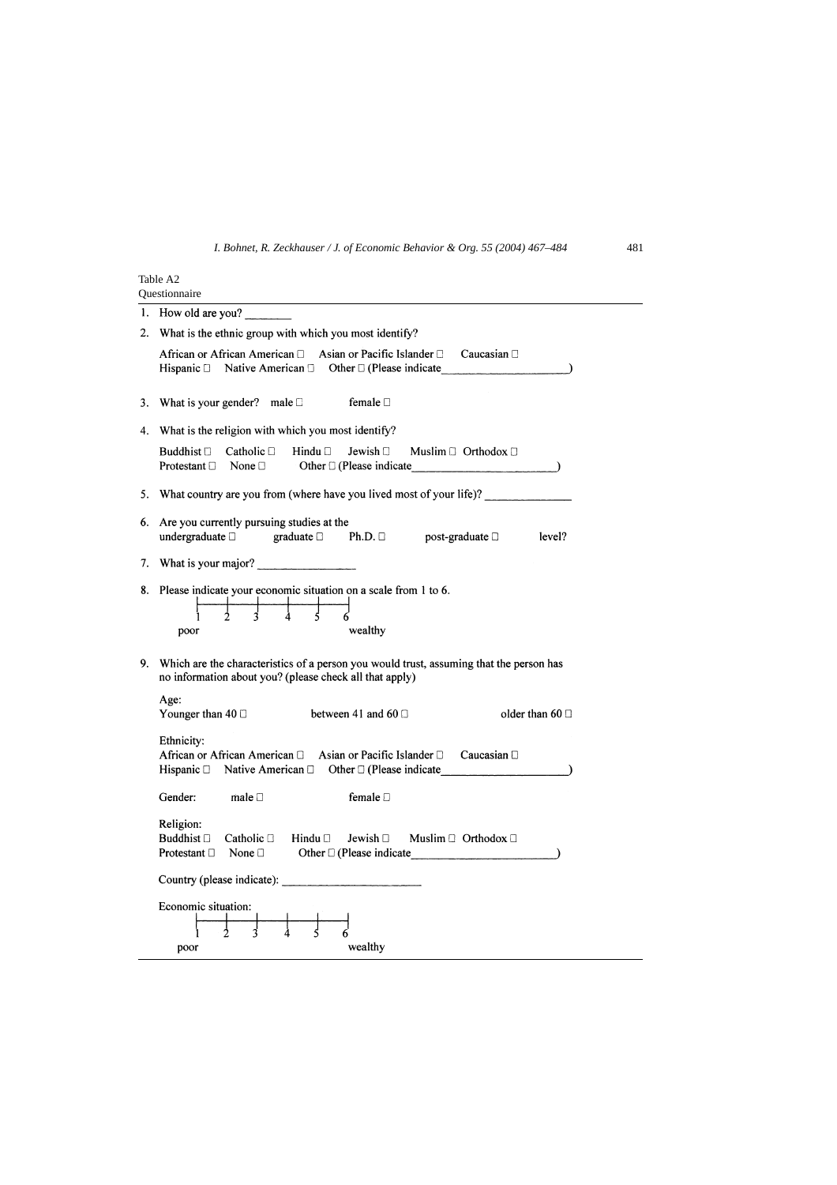<span id="page-14-0"></span>

|  | Table A2  |
|--|-----------|
|  | Augstions |

|    | Questionnaire                                                                                                                                                                                                                                     |  |  |  |  |  |
|----|---------------------------------------------------------------------------------------------------------------------------------------------------------------------------------------------------------------------------------------------------|--|--|--|--|--|
|    | 1. How old are you?                                                                                                                                                                                                                               |  |  |  |  |  |
|    | 2. What is the ethnic group with which you most identify?<br>African or African American $\Box$ Asian or Pacific Islander $\Box$ Caucasian $\Box$<br>Hispanic $\Box$ Native American $\Box$ Other $\Box$ (Please indicate___________________<br>€ |  |  |  |  |  |
|    |                                                                                                                                                                                                                                                   |  |  |  |  |  |
|    | female $\square$<br>3. What is your gender? male $\square$                                                                                                                                                                                        |  |  |  |  |  |
|    | 4. What is the religion with which you most identify?                                                                                                                                                                                             |  |  |  |  |  |
|    | Catholic $\Box$<br>Hindu $\Box$<br>Muslim $\Box$ Orthodox $\Box$<br>Buddhist $\square$<br>Jewish $\Box$<br>None $\Box$<br>Protestant $\square$                                                                                                    |  |  |  |  |  |
|    | 5. What country are you from (where have you lived most of your life)?                                                                                                                                                                            |  |  |  |  |  |
|    | 6. Are you currently pursuing studies at the<br>undergraduate $\square$ graduate $\square$ Ph.D. $\square$<br>$post\text{-}graduate \Box$<br>level?                                                                                               |  |  |  |  |  |
| 7. | What is your major?                                                                                                                                                                                                                               |  |  |  |  |  |
| 8. | Please indicate your economic situation on a scale from 1 to 6.<br>$\frac{1}{2}$<br>wealthy<br>poor                                                                                                                                               |  |  |  |  |  |
| 9. | Which are the characteristics of a person you would trust, assuming that the person has<br>no information about you? (please check all that apply)                                                                                                |  |  |  |  |  |
|    | Age:<br>Younger than $40 \Box$<br>between 41 and 60 $\Box$<br>older than 60 $\Box$                                                                                                                                                                |  |  |  |  |  |
|    | Ethnicity:<br>African or African American $\square$<br>Asian or Pacific Islander $\Box$ Caucasian $\Box$<br>Hispanic $\Box$ Native American $\Box$ Other $\Box$ (Please indicate<br>$\lambda$                                                     |  |  |  |  |  |
|    | Gender:<br>male $\Box$<br>female $\Box$                                                                                                                                                                                                           |  |  |  |  |  |
|    | Religion:<br>Buddhist <b>D</b><br>Catholic $\square$<br>Hindu $\Box$<br>Jewish $\square$<br>Muslim $\Box$ Orthodox $\Box$<br>Protestant $\Box$ None $\Box$                                                                                        |  |  |  |  |  |
|    |                                                                                                                                                                                                                                                   |  |  |  |  |  |
|    | Economic situation:<br>wealthy<br>poor                                                                                                                                                                                                            |  |  |  |  |  |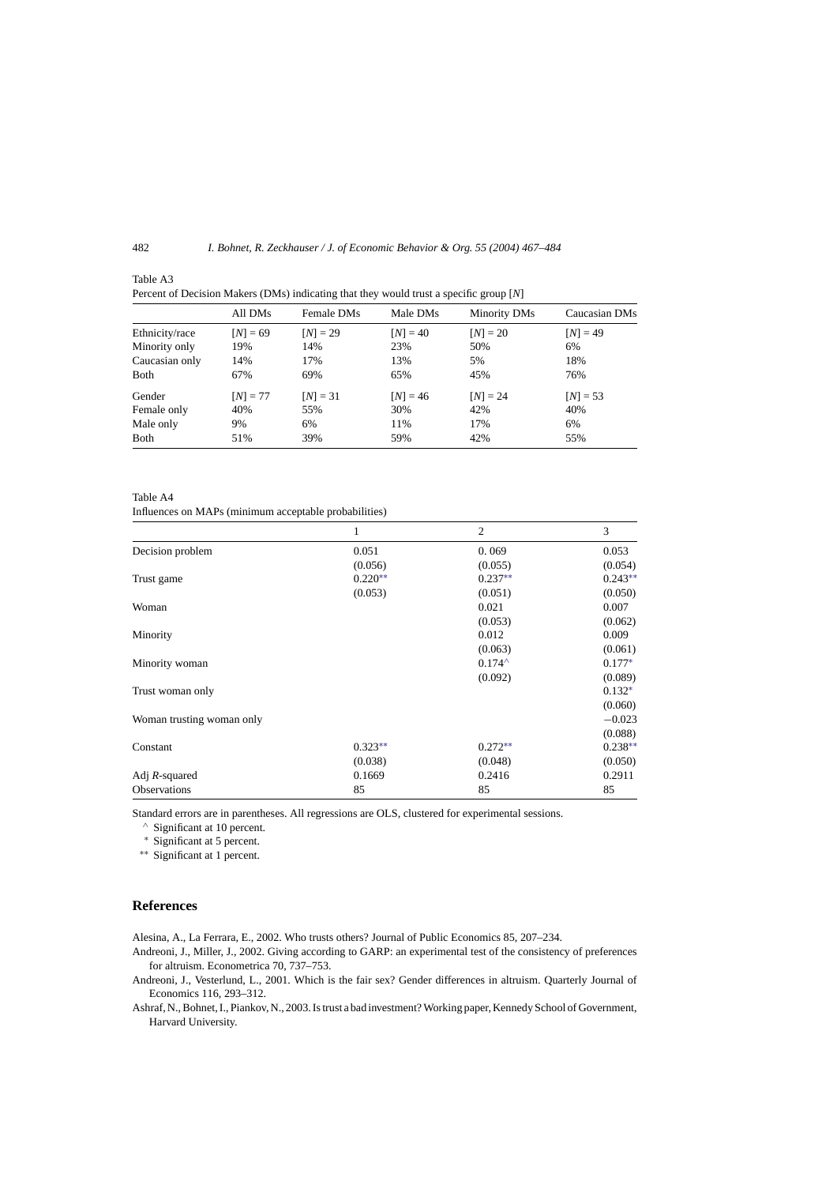|                | All DMs    | Female DMs | Male DMs   | Minority DMs | Caucasian DMs |
|----------------|------------|------------|------------|--------------|---------------|
| Ethnicity/race | $[N] = 69$ | $[M] = 29$ | $[N] = 40$ | $[N] = 20$   | $[M] = 49$    |
| Minority only  | 19%        | 14%        | 23%        | 50%          | 6%            |
| Caucasian only | 14%        | 17%        | 13%        | 5%           | 18%           |
| Both           | 67%        | 69%        | 65%        | 45%          | 76%           |
| Gender         | $[M] = 77$ | $[M] = 31$ | $[N] = 46$ | $[N] = 24$   | $[N] = 53$    |
| Female only    | 40%        | 55%        | 30%        | 42%          | 40%           |
| Male only      | 9%         | 6%         | 11%        | 17%          | 6%            |
| Both           | 51%        | 39%        | 59%        | 42%          | 55%           |
|                |            |            |            |              |               |

Table A3 Percent of Decision Makers (DMs) indicating that they would trust a specific group [*N*]

Table A4

Influences on MAPs (minimum acceptable probabilities)

|                           | 1         | 2         | 3         |
|---------------------------|-----------|-----------|-----------|
| Decision problem          | 0.051     | 0.069     | 0.053     |
|                           | (0.056)   | (0.055)   | (0.054)   |
| Trust game                | $0.220**$ | $0.237**$ | $0.243**$ |
|                           | (0.053)   | (0.051)   | (0.050)   |
| Woman                     |           | 0.021     | 0.007     |
|                           |           | (0.053)   | (0.062)   |
| Minority                  |           | 0.012     | 0.009     |
|                           |           | (0.063)   | (0.061)   |
| Minority woman            |           | $0.174^$  | $0.177*$  |
|                           |           | (0.092)   | (0.089)   |
| Trust woman only          |           |           | $0.132*$  |
|                           |           |           | (0.060)   |
| Woman trusting woman only |           |           | $-0.023$  |
|                           |           |           | (0.088)   |
| Constant                  | $0.323**$ | $0.272**$ | $0.238**$ |
|                           | (0.038)   | (0.048)   | (0.050)   |
| Adj $R$ -squared          | 0.1669    | 0.2416    | 0.2911    |
| <b>Observations</b>       | 85        | 85        | 85        |

Standard errors are in parentheses. All regressions are OLS, clustered for experimental sessions.

∧ Significant at 10 percent.

∗ Significant at 5 percent.

∗∗ Significant at 1 percent.

# **References**

Alesina, A., La Ferrara, E., 2002. Who trusts others? Journal of Public Economics 85, 207–234.

- Andreoni, J., Miller, J., 2002. Giving according to GARP: an experimental test of the consistency of preferences for altruism. Econometrica 70, 737–753.
- Andreoni, J., Vesterlund, L., 2001. Which is the fair sex? Gender differences in altruism. Quarterly Journal of Economics 116, 293–312.
- Ashraf, N., Bohnet, I., Piankov, N., 2003. Is trust a bad investment? Working paper, Kennedy School of Government, Harvard University.

<span id="page-15-0"></span>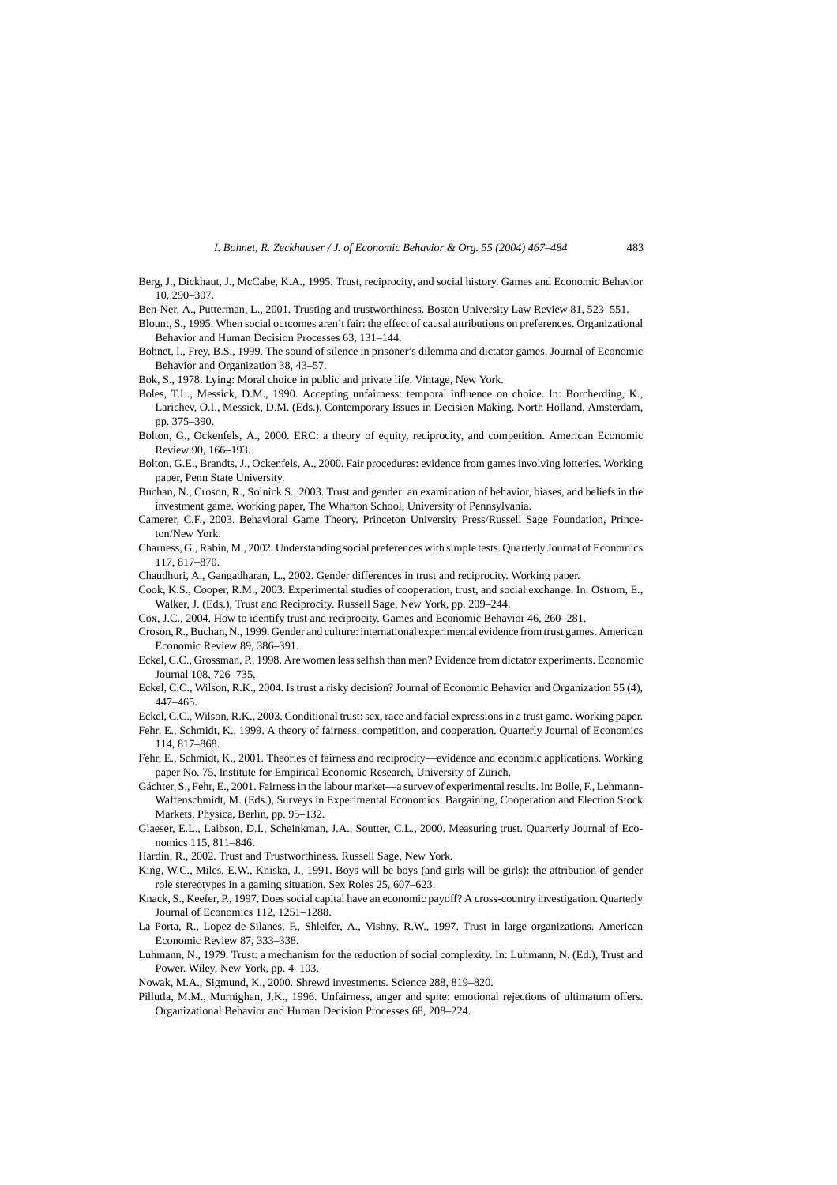- <span id="page-16-0"></span>Berg, J., Dickhaut, J., McCabe, K.A., 1995. Trust, reciprocity, and social history. Games and Economic Behavior 10, 290–307.
- Ben-Ner, A., Putterman, L., 2001. Trusting and trustworthiness. Boston University Law Review 81, 523–551.
- Blount, S., 1995. When social outcomes aren't fair: the effect of causal attributions on preferences. Organizational Behavior and Human Decision Processes 63, 131–144.
- Bohnet, I., Frey, B.S., 1999. The sound of silence in prisoner's dilemma and dictator games. Journal of Economic Behavior and Organization 38, 43–57.
- Bok, S., 1978. Lying: Moral choice in public and private life. Vintage, New York.
- Boles, T.L., Messick, D.M., 1990. Accepting unfairness: temporal influence on choice. In: Borcherding, K., Larichev, O.I., Messick, D.M. (Eds.), Contemporary Issues in Decision Making. North Holland, Amsterdam, pp. 375–390.
- Bolton, G., Ockenfels, A., 2000. ERC: a theory of equity, reciprocity, and competition. American Economic Review 90, 166–193.
- Bolton, G.E., Brandts, J., Ockenfels, A., 2000. Fair procedures: evidence from games involving lotteries. Working paper, Penn State University.
- Buchan, N., Croson, R., Solnick S., 2003. Trust and gender: an examination of behavior, biases, and beliefs in the investment game. Working paper, The Wharton School, University of Pennsylvania.
- Camerer, C.F., 2003. Behavioral Game Theory. Princeton University Press/Russell Sage Foundation, Princeton/New York.
- Charness, G., Rabin, M., 2002. Understanding social preferences with simple tests. Quarterly Journal of Economics 117, 817–870.
- Chaudhuri, A., Gangadharan, L., 2002. Gender differences in trust and reciprocity. Working paper.
- Cook, K.S., Cooper, R.M., 2003. Experimental studies of cooperation, trust, and social exchange. In: Ostrom, E., Walker, J. (Eds.), Trust and Reciprocity. Russell Sage, New York, pp. 209–244.
- Cox, J.C., 2004. How to identify trust and reciprocity. Games and Economic Behavior 46, 260–281.
- Croson, R., Buchan, N., 1999. Gender and culture: international experimental evidence from trust games. American Economic Review 89, 386–391.
- Eckel, C.C., Grossman, P., 1998. Are women less selfish than men? Evidence from dictator experiments. Economic Journal 108, 726–735.
- Eckel, C.C., Wilson, R.K., 2004. Is trust a risky decision? Journal of Economic Behavior and Organization 55 (4), 447–465.
- Eckel, C.C., Wilson, R.K., 2003. Conditional trust: sex, race and facial expressions in a trust game. Working paper.
- Fehr, E., Schmidt, K., 1999. A theory of fairness, competition, and cooperation. Quarterly Journal of Economics 114, 817–868.
- Fehr, E., Schmidt, K., 2001. Theories of fairness and reciprocity—evidence and economic applications. Working paper No. 75, Institute for Empirical Economic Research, University of Zürich.
- Gächter, S., Fehr, E., 2001. Fairness in the labour market—a survey of experimental results. In: Bolle, F., Lehmann-Waffenschmidt, M. (Eds.), Surveys in Experimental Economics. Bargaining, Cooperation and Election Stock Markets. Physica, Berlin, pp. 95–132.
- Glaeser, E.L., Laibson, D.I., Scheinkman, J.A., Soutter, C.L., 2000. Measuring trust. Quarterly Journal of Economics 115, 811–846.
- Hardin, R., 2002. Trust and Trustworthiness. Russell Sage, New York.
- King, W.C., Miles, E.W., Kniska, J., 1991. Boys will be boys (and girls will be girls): the attribution of gender role stereotypes in a gaming situation. Sex Roles 25, 607–623.
- Knack, S., Keefer, P., 1997. Does social capital have an economic payoff? A cross-country investigation. Quarterly Journal of Economics 112, 1251–1288.
- La Porta, R., Lopez-de-Silanes, F., Shleifer, A., Vishny, R.W., 1997. Trust in large organizations. American Economic Review 87, 333–338.
- Luhmann, N., 1979. Trust: a mechanism for the reduction of social complexity. In: Luhmann, N. (Ed.), Trust and Power. Wiley, New York, pp. 4–103.
- Nowak, M.A., Sigmund, K., 2000. Shrewd investments. Science 288, 819–820.
- Pillutla, M.M., Murnighan, J.K., 1996. Unfairness, anger and spite: emotional rejections of ultimatum offers. Organizational Behavior and Human Decision Processes 68, 208–224.